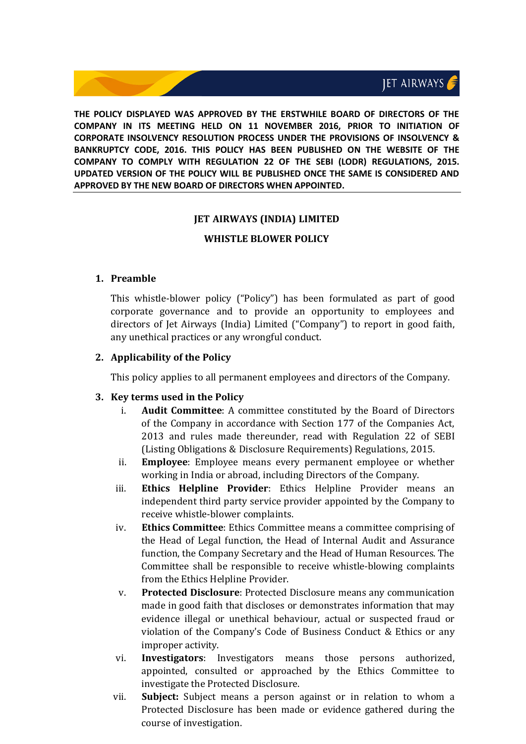**THE POLICY DISPLAYED WAS APPROVED BY THE ERSTWHILE BOARD OF DIRECTORS OF THE COMPANY IN ITS MEETING HELD ON 11 NOVEMBER 2016, PRIOR TO INITIATION OF CORPORATE INSOLVENCY RESOLUTION PROCESS UNDER THE PROVISIONS OF INSOLVENCY & BANKRUPTCY CODE, 2016. THIS POLICY HAS BEEN PUBLISHED ON THE WEBSITE OF THE COMPANY TO COMPLY WITH REGULATION 22 OF THE SEBI (LODR) REGULATIONS, 2015. UPDATED VERSION OF THE POLICY WILL BE PUBLISHED ONCE THE SAME IS CONSIDERED AND APPROVED BY THE NEW BOARD OF DIRECTORS WHEN APPOINTED.**

## **JET AIRWAYS (INDIA) LIMITED**

### **WHISTLE BLOWER POLICY**

### **1. Preamble**

This whistle‐blower policy ("Policy") has been formulated as part of good corporate governance and to provide an opportunity to employees and directors of Jet Airways (India) Limited ("Company") to report in good faith, any unethical practices or any wrongful conduct.

### **2. Applicability of the Policy**

This policy applies to all permanent employees and directors of the Company.

#### **3. Key terms used in the Policy**

- i. **Audit Committee**: A committee constituted by the Board of Directors of the Company in accordance with Section 177 of the Companies Act, 2013 and rules made thereunder, read with Regulation 22 of SEBI (Listing Obligations & Disclosure Requirements) Regulations, 2015.
- ii. **Employee**: Employee means every permanent employee or whether working in India or abroad, including Directors of the Company.
- iii. **Ethics Helpline Provider**: Ethics Helpline Provider means an independent third party service provider appointed by the Company to receive whistle‐blower complaints.
- iv. **Ethics Committee**: Ethics Committee means a committee comprising of the Head of Legal function, the Head of Internal Audit and Assurance function, the Company Secretary and the Head of Human Resources. The Committee shall be responsible to receive whistle‐blowing complaints from the Ethics Helpline Provider.
- v. **Protected Disclosure**: Protected Disclosure means any communication made in good faith that discloses or demonstrates information that may evidence illegal or unethical behaviour, actual or suspected fraud or violation of the Company's Code of Business Conduct & Ethics or any improper activity.
- vi. **Investigators**: Investigators means those persons authorized, appointed, consulted or approached by the Ethics Committee to investigate the Protected Disclosure.
- vii. **Subject:** Subject means a person against or in relation to whom a Protected Disclosure has been made or evidence gathered during the course of investigation.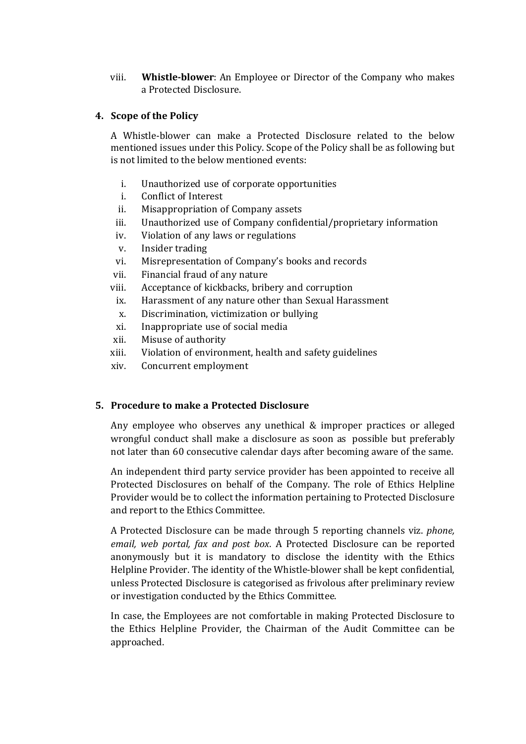viii. **Whistle‐blower**: An Employee or Director of the Company who makes a Protected Disclosure.

### **4. Scope of the Policy**

A Whistle‐blower can make a Protected Disclosure related to the below mentioned issues under this Policy. Scope of the Policy shall be as following but is not limited to the below mentioned events:

- i. Unauthorized use of corporate opportunities
- i. Conflict of Interest
- ii. Misappropriation of Company assets
- iii. Unauthorized use of Company confidential/proprietary information
- iv. Violation of any laws or regulations
- v. Insider trading
- vi. Misrepresentation of Company's books and records
- vii. Financial fraud of any nature
- viii. Acceptance of kickbacks, bribery and corruption
	- ix. Harassment of any nature other than Sexual Harassment
	- x. Discrimination, victimization or bullying
- xi. Inappropriate use of social media
- xii. Misuse of authority
- xiii. Violation of environment, health and safety guidelines
- xiv. Concurrent employment

## **5. Procedure to make a Protected Disclosure**

Any employee who observes any unethical & improper practices or alleged wrongful conduct shall make a disclosure as soon as possible but preferably not later than 60 consecutive calendar days after becoming aware of the same.

An independent third party service provider has been appointed to receive all Protected Disclosures on behalf of the Company. The role of Ethics Helpline Provider would be to collect the information pertaining to Protected Disclosure and report to the Ethics Committee.

A Protected Disclosure can be made through 5 reporting channels viz. *phone, email, web portal, fax and post box*. A Protected Disclosure can be reported anonymously but it is mandatory to disclose the identity with the Ethics Helpline Provider. The identity of the Whistle‐blower shall be kept confidential, unless Protected Disclosure is categorised as frivolous after preliminary review or investigation conducted by the Ethics Committee.

In case, the Employees are not comfortable in making Protected Disclosure to the Ethics Helpline Provider, the Chairman of the Audit Committee can be approached.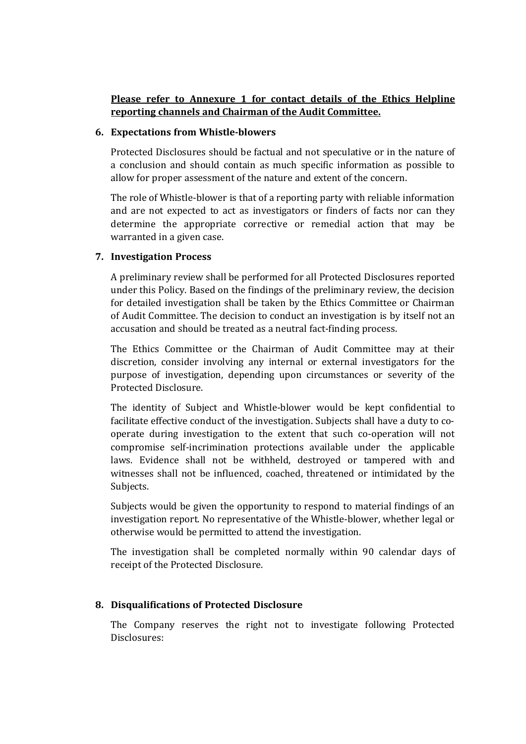# **Please refer to Annexure 1 for contact details of the Ethics Helpline reporting channels and Chairman of the Audit Committee.**

#### **6. Expectations from Whistle‐blowers**

Protected Disclosures should be factual and not speculative or in the nature of a conclusion and should contain as much specific information as possible to allow for proper assessment of the nature and extent of the concern.

The role of Whistle-blower is that of a reporting party with reliable information and are not expected to act as investigators or finders of facts nor can they determine the appropriate corrective or remedial action that may be warranted in a given case.

### **7. Investigation Process**

A preliminary review shall be performed for all Protected Disclosures reported under this Policy. Based on the findings of the preliminary review, the decision for detailed investigation shall be taken by the Ethics Committee or Chairman of Audit Committee. The decision to conduct an investigation is by itself not an accusation and should be treated as a neutral fact-finding process.

The Ethics Committee or the Chairman of Audit Committee may at their discretion, consider involving any internal or external investigators for the purpose of investigation, depending upon circumstances or severity of the Protected Disclosure.

The identity of Subject and Whistle‐blower would be kept confidential to facilitate effective conduct of the investigation. Subjects shall have a duty to co‐ operate during investigation to the extent that such co‐operation will not compromise self‐incrimination protections available under the applicable laws. Evidence shall not be withheld, destroyed or tampered with and witnesses shall not be influenced, coached, threatened or intimidated by the Subjects.

Subjects would be given the opportunity to respond to material findings of an investigation report. No representative of the Whistle‐blower, whether legal or otherwise would be permitted to attend the investigation.

The investigation shall be completed normally within 90 calendar days of receipt of the Protected Disclosure.

### **8. Disqualifications of Protected Disclosure**

The Company reserves the right not to investigate following Protected Disclosures: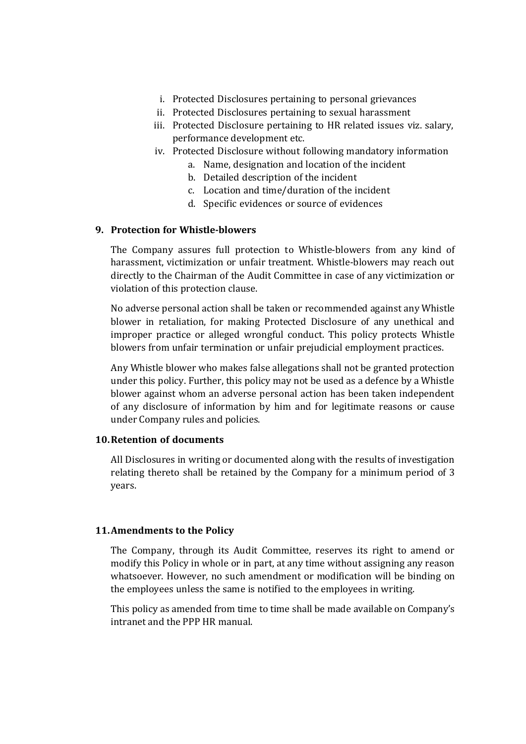- i. Protected Disclosures pertaining to personal grievances
- ii. Protected Disclosures pertaining to sexual harassment
- iii. Protected Disclosure pertaining to HR related issues viz. salary, performance development etc.
- iv. Protected Disclosure without following mandatory information
	- a. Name, designation and location of the incident
	- b. Detailed description of the incident
	- c. Location and time/duration of the incident
	- d. Specific evidences or source of evidences

### **9. Protection for Whistle‐blowers**

The Company assures full protection to Whistle‐blowers from any kind of harassment, victimization or unfair treatment. Whistle‐blowers may reach out directly to the Chairman of the Audit Committee in case of any victimization or violation of this protection clause.

No adverse personal action shall be taken or recommended against any Whistle blower in retaliation, for making Protected Disclosure of any unethical and improper practice or alleged wrongful conduct. This policy protects Whistle blowers from unfair termination or unfair prejudicial employment practices.

Any Whistle blower who makes false allegations shall not be granted protection under this policy. Further, this policy may not be used as a defence by a Whistle blower against whom an adverse personal action has been taken independent of any disclosure of information by him and for legitimate reasons or cause under Company rules and policies.

## **10.Retention of documents**

All Disclosures in writing or documented along with the results of investigation relating thereto shall be retained by the Company for a minimum period of 3 years.

### **11.Amendments to the Policy**

The Company, through its Audit Committee, reserves its right to amend or modify this Policy in whole or in part, at any time without assigning any reason whatsoever. However, no such amendment or modification will be binding on the employees unless the same is notified to the employees in writing.

This policy as amended from time to time shall be made available on Company's intranet and the PPP HR manual.